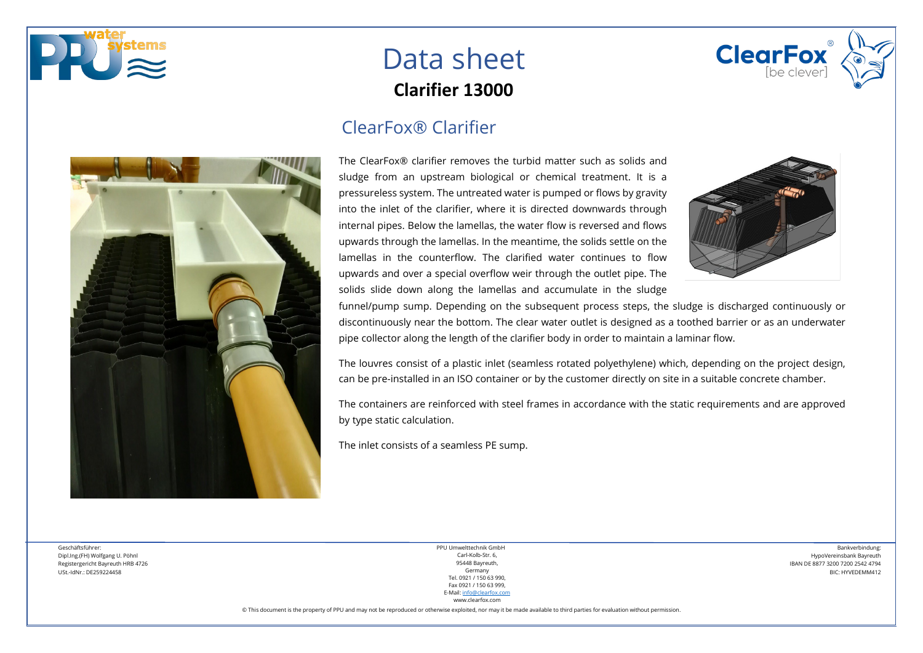





## ClearFox® Clarifier

The ClearFox® clarifier removes the turbid matter such as solids and sludge from an upstream biological or chemical treatment. It is a pressureless system. The untreated water is pumped or flows by gravity into the inlet of the clarifier, where it is directed downwards through internal pipes. Below the lamellas, the water flow is reversed and flows upwards through the lamellas. In the meantime, the solids settle on the lamellas in the counterflow. The clarified water continues to flow upwards and over a special overflow weir through the outlet pipe. The solids slide down along the lamellas and accumulate in the sludge



funnel/pump sump. Depending on the subsequent process steps, the sludge is discharged continuously or discontinuously near the bottom. The clear water outlet is designed as a toothed barrier or as an underwater pipe collector along the length of the clarifier body in order to maintain a laminar flow.

The louvres consist of a plastic inlet (seamless rotated polyethylene) which, depending on the project design, can be pre-installed in an ISO container or by the customer directly on site in a suitable concrete chamber.

The containers are reinforced with steel frames in accordance with the static requirements and are approved by type static calculation.

The inlet consists of a seamless PE sump.

Geschäftsführer: Dipl.Ing.(FH) Wolfgang U. Pöhnl Registergericht Bayreuth HRB 4726 USt.-IdNr.: DE259224458

PPU Umwelttechnik GmbH Carl-Kolb-Str. 6, 95448 Bayreuth, Germany Tel. 0921 / 150 63 990, Fax 0921 / 150 63 999, E-Mail[: info@clearfox.com](mailto:info@clearfox.com)

www.clearfox.com

Bankverbindung: HypoVereinsbank Bayreuth IBAN DE 8877 3200 7200 2542 4794 BIC: HYVEDEMM412

© This document is the property of PPU and may not be reproduced or otherwise exploited, nor may it be made available to third parties for evaluation without permission.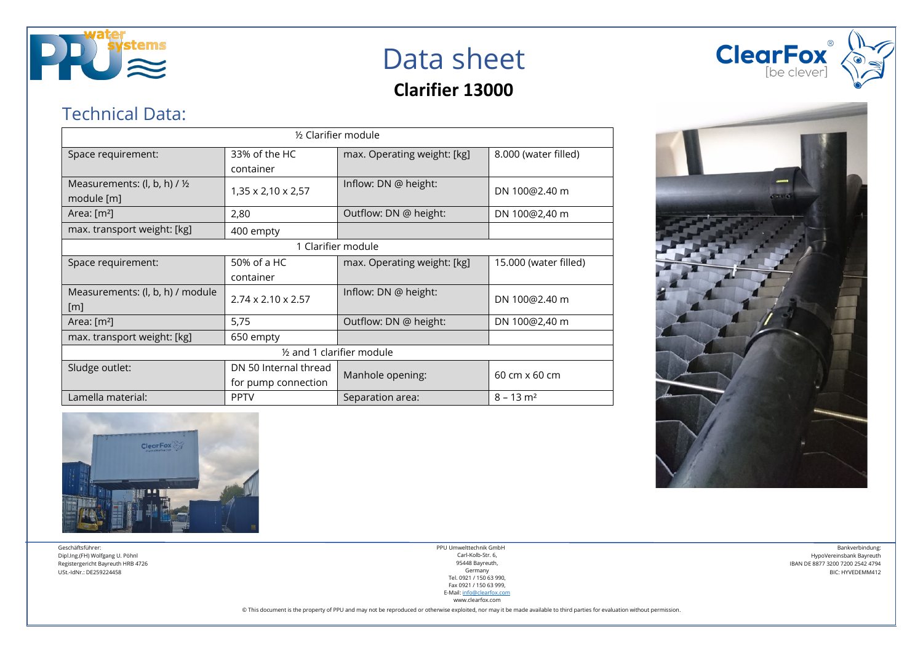

## Data sheet

**Clarifier 13000** 



## Technical Data:

| 1/2 Clarifier module                                  |                                |                             |                         |  |  |  |
|-------------------------------------------------------|--------------------------------|-----------------------------|-------------------------|--|--|--|
| Space requirement:                                    | 33% of the HC                  | max. Operating weight: [kg] | 8.000 (water filled)    |  |  |  |
|                                                       | container                      |                             |                         |  |  |  |
| Measurements: (l, b, h) $/$ 1/2                       | 1,35 x 2,10 x 2,57             | Inflow: DN @ height:        | DN 100@2.40 m           |  |  |  |
| module [m]                                            |                                |                             |                         |  |  |  |
| Area: $[m^2]$                                         | 2,80                           | Outflow: DN @ height:       | DN 100@2,40 m           |  |  |  |
| max. transport weight: [kg]                           | 400 empty                      |                             |                         |  |  |  |
| 1 Clarifier module                                    |                                |                             |                         |  |  |  |
| Space requirement:                                    | 50% of a HC                    | max. Operating weight: [kg] | 15.000 (water filled)   |  |  |  |
|                                                       | container                      |                             |                         |  |  |  |
| Measurements: (l, b, h) / module<br>$\lceil m \rceil$ | $2.74 \times 2.10 \times 2.57$ | Inflow: DN @ height:        | DN 100@2.40 m           |  |  |  |
| Area: $[m^2]$                                         | 5,75                           | Outflow: DN @ height:       | DN 100@2,40 m           |  |  |  |
| max. transport weight: [kg]                           | 650 empty                      |                             |                         |  |  |  |
| $\frac{1}{2}$ and 1 clarifier module                  |                                |                             |                         |  |  |  |
| Sludge outlet:                                        | DN 50 Internal thread          | Manhole opening:            | 60 cm x 60 cm           |  |  |  |
|                                                       | for pump connection            |                             |                         |  |  |  |
| Lamella material:                                     | <b>PPTV</b>                    | Separation area:            | $8 - 13$ m <sup>2</sup> |  |  |  |





Geschäftsführer: Dipl.Ing.(FH) Wolfgang U. Pöhnl Registergericht Bayreuth HRB 4726 USt.-IdNr.: DE259224458

PPU Umwelttechnik GmbH Carl-Kolb-Str. 6, 95448 Bayreuth, Germany Tel. 0921 / 150 63 990, Fax 0921 / 150 63 999, E-Mail[: info@clearfox.com](mailto:info@clearfox.com)

www.clearfox.com

© This document is the property of PPU and may not be reproduced or otherwise exploited, nor may it be made available to third parties for evaluation without permission.

Bankverbindung: HypoVereinsbank Bayreuth IBAN DE 8877 3200 7200 2542 4794 BIC: HYVEDEMM412